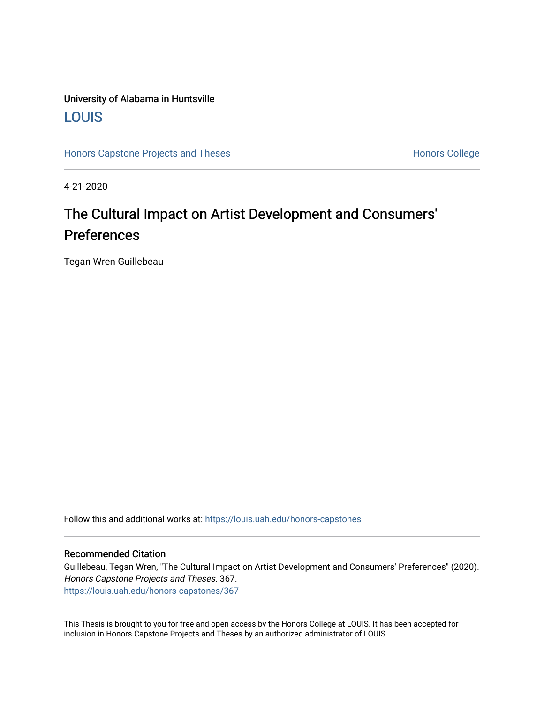### University of Alabama in Huntsville [LOUIS](https://louis.uah.edu/)

[Honors Capstone Projects and Theses](https://louis.uah.edu/honors-capstones) **Honors College** Honors College

4-21-2020

### The Cultural Impact on Artist Development and Consumers' Preferences

Tegan Wren Guillebeau

Follow this and additional works at: [https://louis.uah.edu/honors-capstones](https://louis.uah.edu/honors-capstones?utm_source=louis.uah.edu%2Fhonors-capstones%2F367&utm_medium=PDF&utm_campaign=PDFCoverPages) 

#### Recommended Citation

Guillebeau, Tegan Wren, "The Cultural Impact on Artist Development and Consumers' Preferences" (2020). Honors Capstone Projects and Theses. 367. [https://louis.uah.edu/honors-capstones/367](https://louis.uah.edu/honors-capstones/367?utm_source=louis.uah.edu%2Fhonors-capstones%2F367&utm_medium=PDF&utm_campaign=PDFCoverPages) 

This Thesis is brought to you for free and open access by the Honors College at LOUIS. It has been accepted for inclusion in Honors Capstone Projects and Theses by an authorized administrator of LOUIS.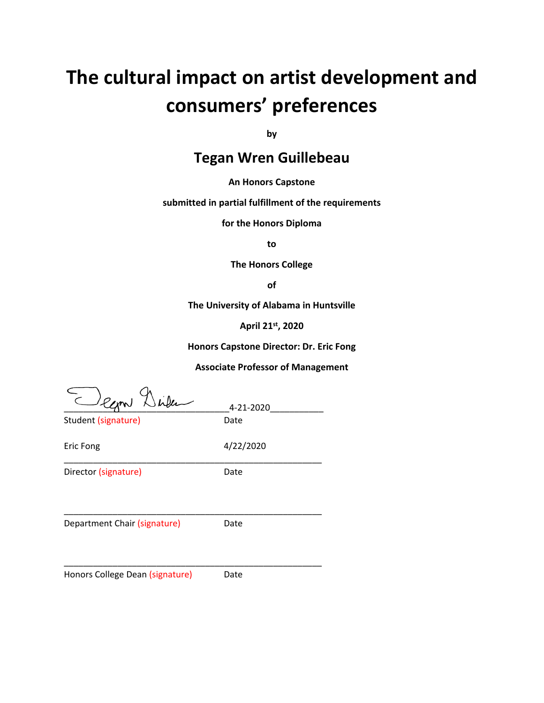# **The cultural impact on artist development and consumers' preferences**

**by**

### **Tegan Wren Guillebeau**

**An Honors Capstone**

**submitted in partial fulfillment of the requirements** 

**for the Honors Diploma**

**to** 

**The Honors College** 

**of** 

**The University of Alabama in Huntsville**

**April 21st, 2020**

**Honors Capstone Director: Dr. Eric Fong**

**Associate Professor of Management**

 $\supset_{e_{\mathcal{L}} \times 1} 2$  index  $\supseteq$  4-21-2020

Student (signature) Date

Eric Fong 4/22/2020

Director (signature) Date

\_\_\_\_\_\_\_\_\_\_\_\_\_\_\_\_\_\_\_\_\_\_\_\_\_\_\_\_\_\_\_\_\_\_\_\_\_\_\_\_\_\_\_\_\_\_\_\_\_\_\_\_\_

Department Chair (signature) Date

\_\_\_\_\_\_\_\_\_\_\_\_\_\_\_\_\_\_\_\_\_\_\_\_\_\_\_\_\_\_\_\_\_\_\_\_\_\_\_\_\_\_\_\_\_\_\_\_\_\_\_\_\_

\_\_\_\_\_\_\_\_\_\_\_\_\_\_\_\_\_\_\_\_\_\_\_\_\_\_\_\_\_\_\_\_\_\_\_\_\_\_\_\_\_\_\_\_\_\_\_\_\_\_\_\_\_

Honors College Dean (signature) Date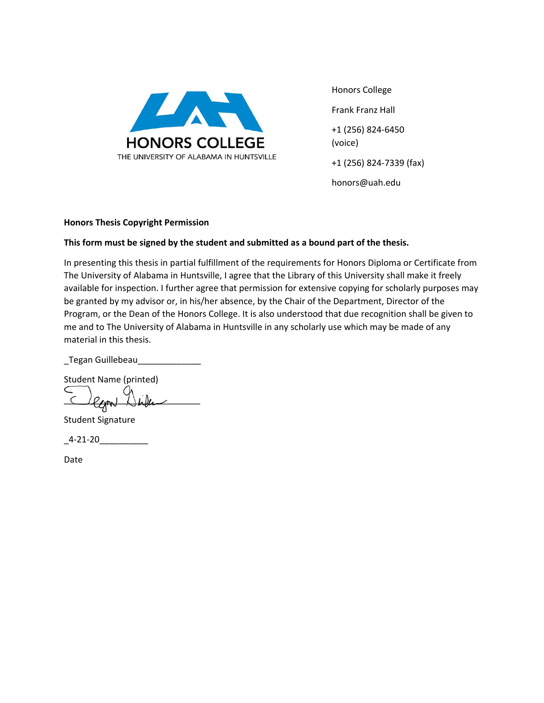

Honors College Frank Franz Hall +1 (256) 824-6450 (voice) +1 (256) 824-7339 (fax) honors@uah.edu

#### **Honors Thesis Copyright Permission**

#### **This form must be signed by the student and submitted as a bound part of the thesis.**

In presenting this thesis in partial fulfillment of the requirements for Honors Diploma or Certificate from The University of Alabama in Huntsville, I agree that the Library of this University shall make it freely available for inspection. I further agree that permission for extensive copying for scholarly purposes may be granted by my advisor or, in his/her absence, by the Chair of the Department, Director of the Program, or the Dean of the Honors College. It is also understood that due recognition shall be given to me and to The University of Alabama in Huntsville in any scholarly use which may be made of any material in this thesis.

\_Tegan Guillebeau\_\_\_\_\_\_\_\_\_\_\_\_\_

Student Name (printed)

egn

Student Signature

\_4-21-20\_\_\_\_\_\_\_\_\_\_

Date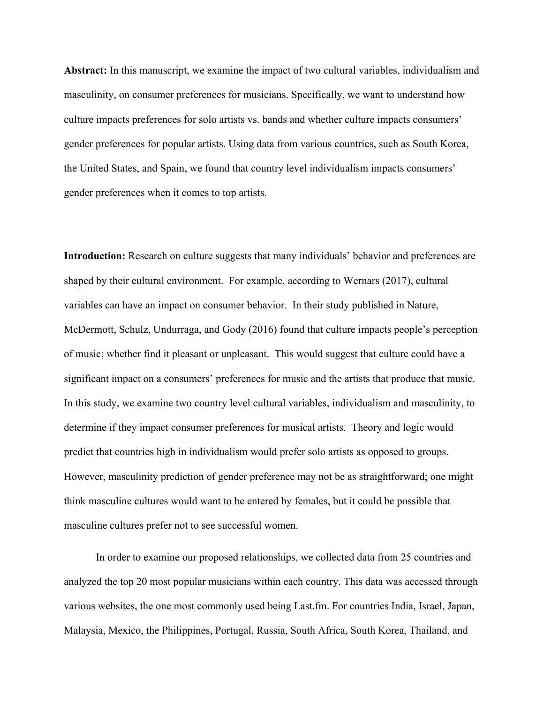**Abstract:** In this manuscript, we examine the impact of two cultural variables, individualism and masculinity, on consumer preferences for musicians. Specifically, we want to understand how culture impacts preferences for solo artists vs. bands and whether culture impacts consumers' gender preferences for popular artists. Using data from various countries, such as South Korea, the United States, and Spain, we found that country level individualism impacts consumers' gender preferences when it comes to top artists.

**Introduction:** Research on culture suggests that many individuals' behavior and preferences are shaped by their cultural environment. For example, according to Wernars (2017), cultural variables can have an impact on consumer behavior. In their study published in Nature, McDermott, Schulz, Undurraga, and Gody (2016) found that culture impacts people's perception of music; whether find it pleasant or unpleasant. This would suggest that culture could have a significant impact on a consumers' preferences for music and the artists that produce that music. In this study, we examine two country level cultural variables, individualism and masculinity, to determine if they impact consumer preferences for musical artists. Theory and logic would predict that countries high in individualism would prefer solo artists as opposed to groups. However, masculinity prediction of gender preference may not be as straightforward; one might think masculine cultures would want to be entered by females, but it could be possible that masculine cultures prefer not to see successful women.

In order to examine our proposed relationships, we collected data from 25 countries and analyzed the top 20 most popular musicians within each country. This data was accessed through various websites, the one most commonly used being Last.fm. For countries India, Israel, Japan, Malaysia, Mexico, the Philippines, Portugal, Russia, South Africa, South Korea, Thailand, and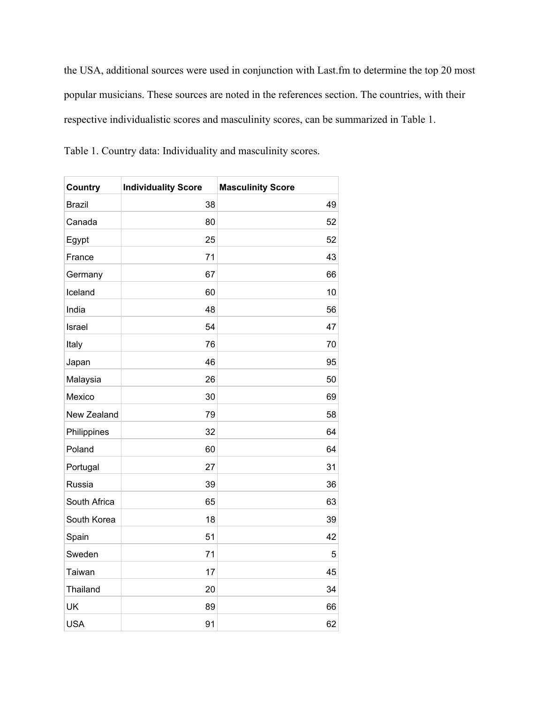the USA, additional sources were used in conjunction with Last.fm to determine the top 20 most popular musicians. These sources are noted in the references section. The countries, with their respective individualistic scores and masculinity scores, can be summarized in Table 1.

Table 1. Country data: Individuality and masculinity scores.

| <b>Country</b> | <b>Individuality Score</b> | <b>Masculinity Score</b> |
|----------------|----------------------------|--------------------------|
| <b>Brazil</b>  | 38                         | 49                       |
| Canada         | 80                         | 52                       |
| Egypt          | 25                         | 52                       |
| France         | 71                         | 43                       |
| Germany        | 67                         | 66                       |
| Iceland        | 60                         | 10                       |
| India          | 48                         | 56                       |
| Israel         | 54                         | 47                       |
| Italy          | 76                         | 70                       |
| Japan          | 46                         | 95                       |
| Malaysia       | 26                         | 50                       |
| Mexico         | 30                         | 69                       |
| New Zealand    | 79                         | 58                       |
| Philippines    | 32                         | 64                       |
| Poland         | 60                         | 64                       |
| Portugal       | 27                         | 31                       |
| Russia         | 39                         | 36                       |
| South Africa   | 65                         | 63                       |
| South Korea    | 18                         | 39                       |
| Spain          | 51                         | 42                       |
| Sweden         | 71                         | 5                        |
| Taiwan         | 17                         | 45                       |
| Thailand       | 20                         | 34                       |
| UK             | 89                         | 66                       |
| <b>USA</b>     | 91                         | 62                       |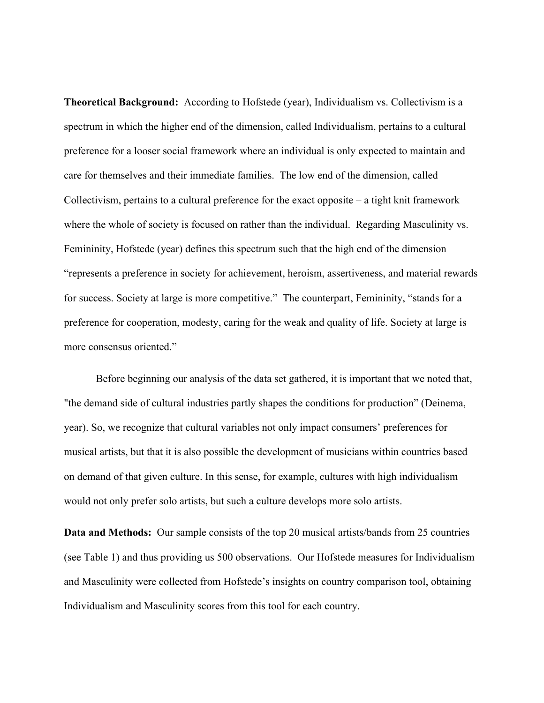**Theoretical Background:** According to Hofstede (year), Individualism vs. Collectivism is a spectrum in which the higher end of the dimension, called Individualism, pertains to a cultural preference for a looser social framework where an individual is only expected to maintain and care for themselves and their immediate families. The low end of the dimension, called Collectivism, pertains to a cultural preference for the exact opposite – a tight knit framework where the whole of society is focused on rather than the individual. Regarding Masculinity vs. Femininity, Hofstede (year) defines this spectrum such that the high end of the dimension "represents a preference in society for achievement, heroism, assertiveness, and material rewards for success. Society at large is more competitive." The counterpart, Femininity, "stands for a preference for cooperation, modesty, caring for the weak and quality of life. Society at large is more consensus oriented."

Before beginning our analysis of the data set gathered, it is important that we noted that, "the demand side of cultural industries partly shapes the conditions for production" (Deinema, year). So, we recognize that cultural variables not only impact consumers' preferences for musical artists, but that it is also possible the development of musicians within countries based on demand of that given culture. In this sense, for example, cultures with high individualism would not only prefer solo artists, but such a culture develops more solo artists.

**Data and Methods:** Our sample consists of the top 20 musical artists/bands from 25 countries (see Table 1) and thus providing us 500 observations. Our Hofstede measures for Individualism and Masculinity were collected from Hofstede's insights on country comparison tool, obtaining Individualism and Masculinity scores from this tool for each country.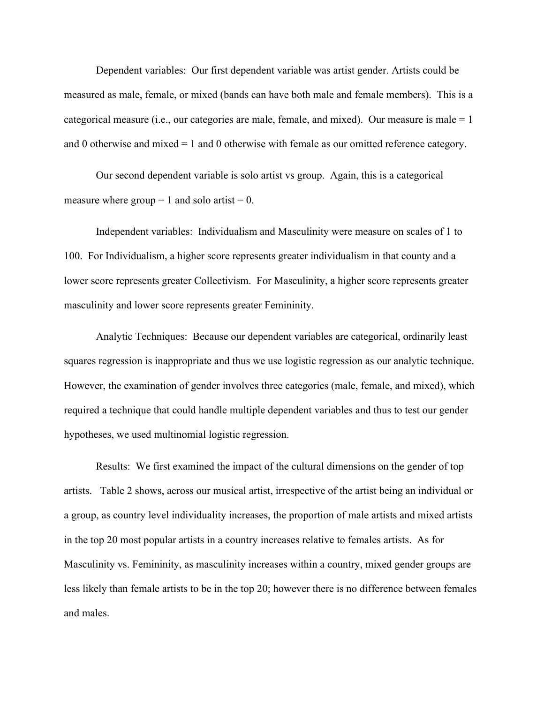Dependent variables: Our first dependent variable was artist gender. Artists could be measured as male, female, or mixed (bands can have both male and female members). This is a categorical measure (i.e., our categories are male, female, and mixed). Our measure is male  $= 1$ and 0 otherwise and mixed = 1 and 0 otherwise with female as our omitted reference category.

Our second dependent variable is solo artist vs group. Again, this is a categorical measure where group  $= 1$  and solo artist  $= 0$ .

Independent variables: Individualism and Masculinity were measure on scales of 1 to 100. For Individualism, a higher score represents greater individualism in that county and a lower score represents greater Collectivism. For Masculinity, a higher score represents greater masculinity and lower score represents greater Femininity.

Analytic Techniques: Because our dependent variables are categorical, ordinarily least squares regression is inappropriate and thus we use logistic regression as our analytic technique. However, the examination of gender involves three categories (male, female, and mixed), which required a technique that could handle multiple dependent variables and thus to test our gender hypotheses, we used multinomial logistic regression.

Results: We first examined the impact of the cultural dimensions on the gender of top artists. Table 2 shows, across our musical artist, irrespective of the artist being an individual or a group, as country level individuality increases, the proportion of male artists and mixed artists in the top 20 most popular artists in a country increases relative to females artists. As for Masculinity vs. Femininity, as masculinity increases within a country, mixed gender groups are less likely than female artists to be in the top 20; however there is no difference between females and males.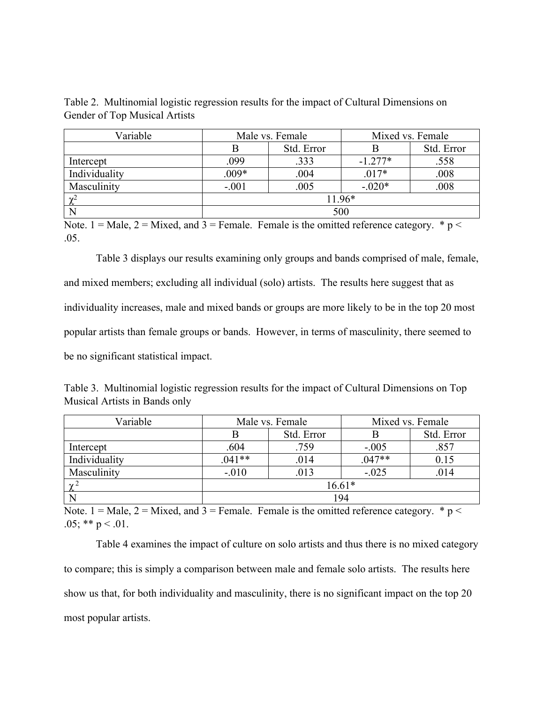| Variable      | Male vs. Female |            | Mixed vs. Female |            |  |
|---------------|-----------------|------------|------------------|------------|--|
|               |                 | Std. Error |                  | Std. Error |  |
| Intercept     | .099            | .333       | $-1.277*$        | .558       |  |
| Individuality | $.009*$         | .004       | $.017*$          | .008       |  |
| Masculinity   | $-.001$         | .005       | $-.020*$         | .008       |  |
| $\gamma^2$    | 11.96*          |            |                  |            |  |
|               | 500             |            |                  |            |  |

Table 2. Multinomial logistic regression results for the impact of Cultural Dimensions on Gender of Top Musical Artists

Note. 1 = Male, 2 = Mixed, and 3 = Female. Female is the omitted reference category.  $* p <$ .05.

Table 3 displays our results examining only groups and bands comprised of male, female, and mixed members; excluding all individual (solo) artists. The results here suggest that as individuality increases, male and mixed bands or groups are more likely to be in the top 20 most popular artists than female groups or bands. However, in terms of masculinity, there seemed to be no significant statistical impact.

| Table 3. Multinomial logistic regression results for the impact of Cultural Dimensions on Top |  |  |  |
|-----------------------------------------------------------------------------------------------|--|--|--|
| Musical Artists in Bands only                                                                 |  |  |  |

| Variable      | Male vs. Female |            | Mixed vs. Female |            |
|---------------|-----------------|------------|------------------|------------|
|               |                 | Std. Error |                  | Std. Error |
| Intercept     | .604            | .759       | $-.005$          | .857       |
| Individuality | $.041**$        | .014       | $.047**$         | 0.15       |
| Masculinity   | $-.010$         | .013       | $-.025$          | .014       |
| $\gamma^2$    | $16.61*$        |            |                  |            |
|               | 194             |            |                  |            |

Note. 1 = Male, 2 = Mixed, and 3 = Female. Female is the omitted reference category.  $* p <$ .05; \*\*  $p < .01$ .

Table 4 examines the impact of culture on solo artists and thus there is no mixed category to compare; this is simply a comparison between male and female solo artists. The results here show us that, for both individuality and masculinity, there is no significant impact on the top 20 most popular artists.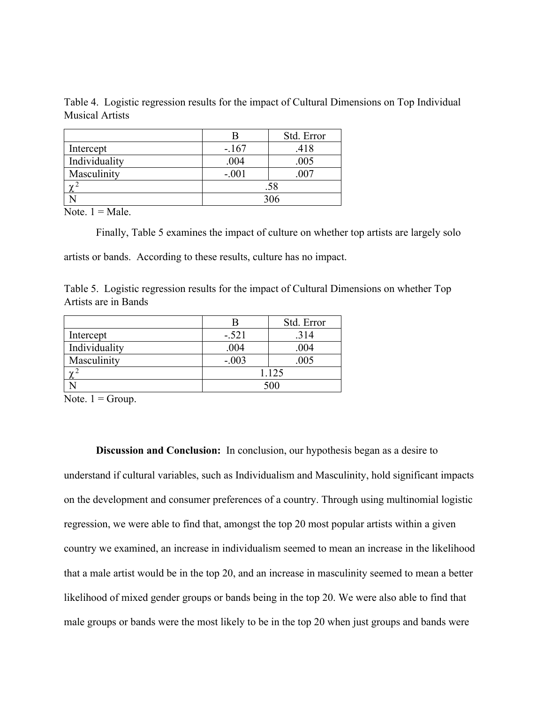Table 4. Logistic regression results for the impact of Cultural Dimensions on Top Individual Musical Artists

|               |         | Std. Error |  |
|---------------|---------|------------|--|
| Intercept     | $-.167$ | .418       |  |
| Individuality | .004    | .005       |  |
| Masculinity   | $-.001$ | .007       |  |
| $\sim$        | .58     |            |  |
|               | 306     |            |  |

Note.  $1 = Male$ .

Finally, Table 5 examines the impact of culture on whether top artists are largely solo

artists or bands. According to these results, culture has no impact.

|                      |  |  | Table 5. Logistic regression results for the impact of Cultural Dimensions on whether Top |  |
|----------------------|--|--|-------------------------------------------------------------------------------------------|--|
| Artists are in Bands |  |  |                                                                                           |  |

|                | н       | Std. Error |  |
|----------------|---------|------------|--|
| Intercept      | $-.521$ | .314       |  |
| Individuality  | .004    | .004       |  |
| Masculinity    | $-.003$ | .005       |  |
| $\overline{a}$ | 1.125   |            |  |
|                | 500     |            |  |

Note.  $1 =$  Group.

**Discussion and Conclusion:** In conclusion, our hypothesis began as a desire to understand if cultural variables, such as Individualism and Masculinity, hold significant impacts on the development and consumer preferences of a country. Through using multinomial logistic regression, we were able to find that, amongst the top 20 most popular artists within a given country we examined, an increase in individualism seemed to mean an increase in the likelihood that a male artist would be in the top 20, and an increase in masculinity seemed to mean a better likelihood of mixed gender groups or bands being in the top 20. We were also able to find that male groups or bands were the most likely to be in the top 20 when just groups and bands were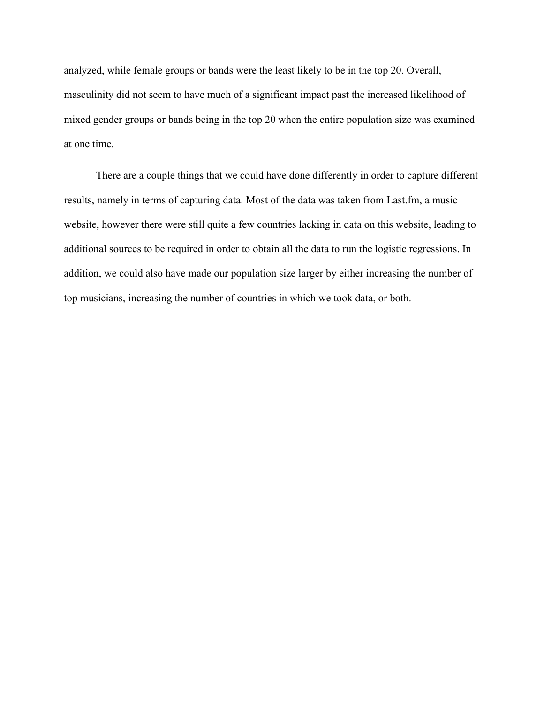analyzed, while female groups or bands were the least likely to be in the top 20. Overall, masculinity did not seem to have much of a significant impact past the increased likelihood of mixed gender groups or bands being in the top 20 when the entire population size was examined at one time.

There are a couple things that we could have done differently in order to capture different results, namely in terms of capturing data. Most of the data was taken from Last.fm, a music website, however there were still quite a few countries lacking in data on this website, leading to additional sources to be required in order to obtain all the data to run the logistic regressions. In addition, we could also have made our population size larger by either increasing the number of top musicians, increasing the number of countries in which we took data, or both.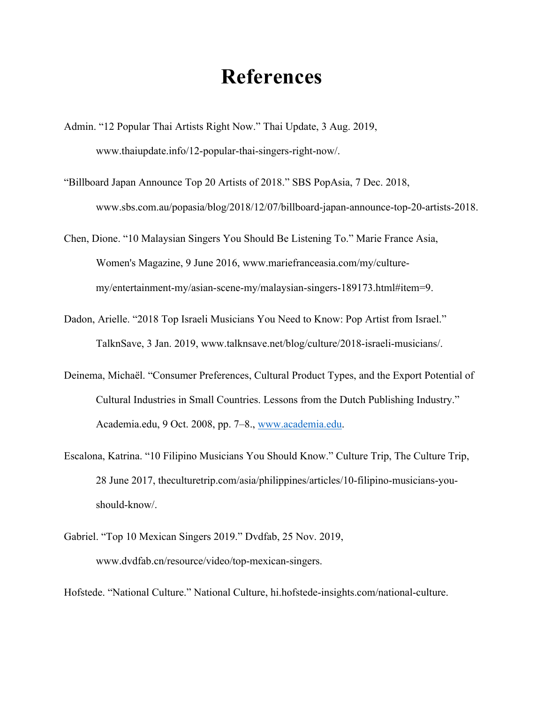## **References**

- Admin. "12 Popular Thai Artists Right Now." Thai Update, 3 Aug. 2019, www.thaiupdate.info/12-popular-thai-singers-right-now/.
- "Billboard Japan Announce Top 20 Artists of 2018." SBS PopAsia, 7 Dec. 2018, www.sbs.com.au/popasia/blog/2018/12/07/billboard-japan-announce-top-20-artists-2018.
- Chen, Dione. "10 Malaysian Singers You Should Be Listening To." Marie France Asia, Women's Magazine, 9 June 2016, www.mariefranceasia.com/my/culturemy/entertainment-my/asian-scene-my/malaysian-singers-189173.html#item=9.
- Dadon, Arielle. "2018 Top Israeli Musicians You Need to Know: Pop Artist from Israel." TalknSave, 3 Jan. 2019, www.talknsave.net/blog/culture/2018-israeli-musicians/.
- Deinema, Michaël. "Consumer Preferences, Cultural Product Types, and the Export Potential of Cultural Industries in Small Countries. Lessons from the Dutch Publishing Industry." Academia.edu, 9 Oct. 2008, pp. 7–8., [www.academia.edu.](http://www.academia.edu/)
- Escalona, Katrina. "10 Filipino Musicians You Should Know." Culture Trip, The Culture Trip, 28 June 2017, theculturetrip.com/asia/philippines/articles/10-filipino-musicians-youshould-know/.
- Gabriel. "Top 10 Mexican Singers 2019." Dvdfab, 25 Nov. 2019, www.dvdfab.cn/resource/video/top-mexican-singers.

Hofstede. "National Culture." National Culture, hi.hofstede-insights.com/national-culture.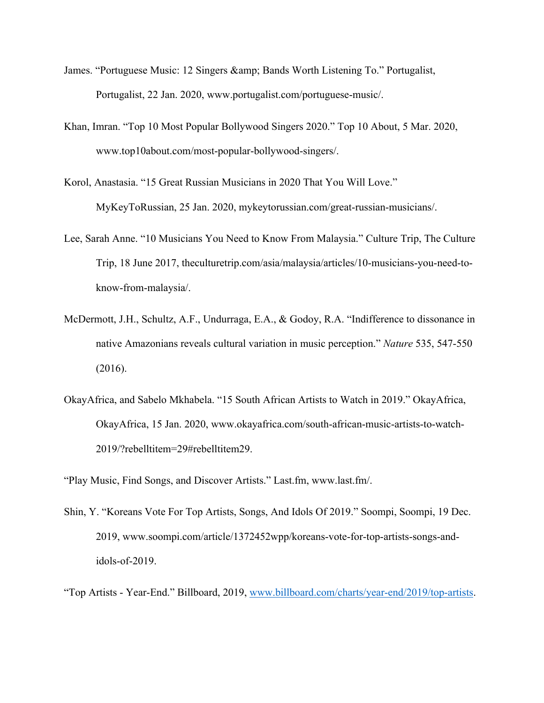- James. "Portuguese Music: 12 Singers & amp; Bands Worth Listening To." Portugalist, Portugalist, 22 Jan. 2020, www.portugalist.com/portuguese-music/.
- Khan, Imran. "Top 10 Most Popular Bollywood Singers 2020." Top 10 About, 5 Mar. 2020, www.top10about.com/most-popular-bollywood-singers/.
- Korol, Anastasia. "15 Great Russian Musicians in 2020 That You Will Love." MyKeyToRussian, 25 Jan. 2020, mykeytorussian.com/great-russian-musicians/.
- Lee, Sarah Anne. "10 Musicians You Need to Know From Malaysia." Culture Trip, The Culture Trip, 18 June 2017, theculturetrip.com/asia/malaysia/articles/10-musicians-you-need-toknow-from-malaysia/.
- McDermott, J.H., Schultz, A.F., Undurraga, E.A., & Godoy, R.A. "Indifference to dissonance in native Amazonians reveals cultural variation in music perception." *Nature* 535, 547-550 (2016).
- OkayAfrica, and Sabelo Mkhabela. "15 South African Artists to Watch in 2019." OkayAfrica, OkayAfrica, 15 Jan. 2020, www.okayafrica.com/south-african-music-artists-to-watch-2019/?rebelltitem=29#rebelltitem29.
- "Play Music, Find Songs, and Discover Artists." Last.fm, www.last.fm/.
- Shin, Y. "Koreans Vote For Top Artists, Songs, And Idols Of 2019." Soompi, Soompi, 19 Dec. 2019, www.soompi.com/article/1372452wpp/koreans-vote-for-top-artists-songs-andidols-of-2019.
- "Top Artists Year-End." Billboard, 2019, [www.billboard.com/charts/year-end/2019/top-artists.](http://www.billboard.com/charts/year-end/2019/top-artists)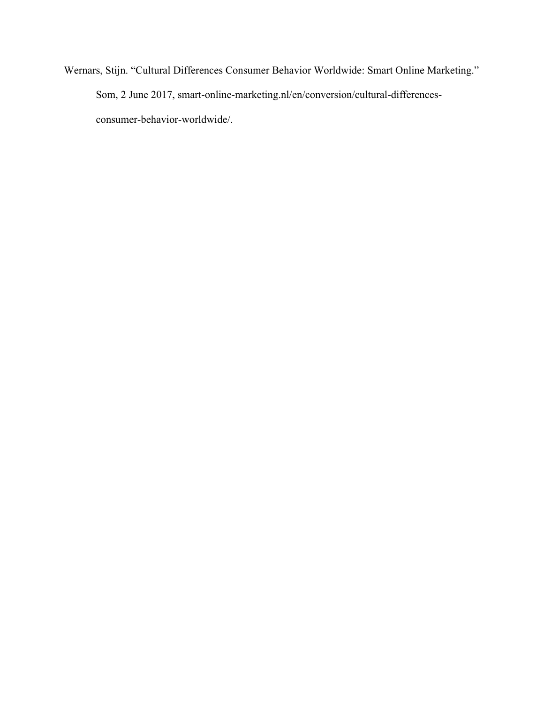Wernars, Stijn. "Cultural Differences Consumer Behavior Worldwide: Smart Online Marketing." Som, 2 June 2017, smart-online-marketing.nl/en/conversion/cultural-differencesconsumer-behavior-worldwide/.